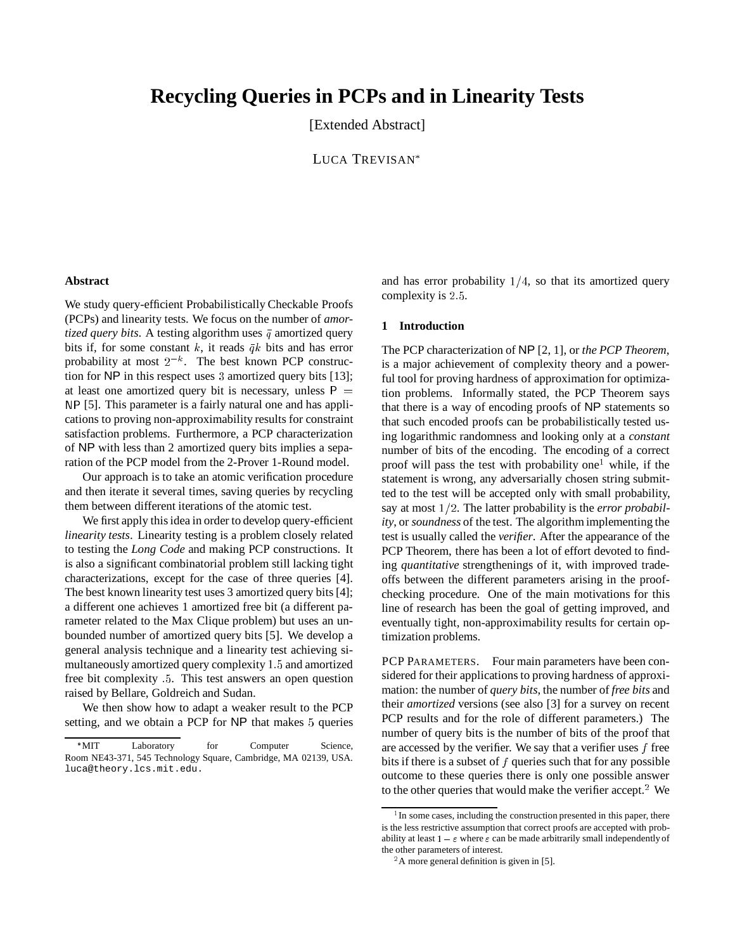# **Recycling Queries in PCPs and in Linearity Tests**

[Extended Abstract]

LUCA TREVISAN

#### **Abstract**

We study query-efficient Probabilistically Checkable Proofs (PCPs) and linearity tests. We focus on the number of *amortized query bits.* A testing algorithm uses  $\bar{q}$  amortized query bits if, for some constant k, it reads  $\bar{q}k$  bits and has error probability at most  $2^{-k}$ . The best known PCP construction for NP in this respect uses <sup>3</sup> amortized query bits [13]; at least one amortized query bit is necessary, unless  $P =$ NP [5]. This parameter is a fairly natural one and has applications to proving non-approximability results for constraint satisfaction problems. Furthermore, a PCP characterization of NP with less than 2 amortized query bits implies a separation of the PCP model from the 2-Prover 1-Round model.

Our approach is to take an atomic verification procedure and then iterate it several times, saving queries by recycling them between different iterations of the atomic test.

We first apply this idea in order to develop query-efficient *linearity tests*. Linearity testing is a problem closely related to testing the *Long Code* and making PCP constructions. It is also a significant combinatorial problem still lacking tight characterizations, except for the case of three queries [4]. The best known linearity test uses 3 amortized query bits [4]; a different one achieves 1 amortized free bit (a different parameter related to the Max Clique problem) but uses an unbounded number of amortized query bits [5]. We develop a general analysis technique and a linearity test achieving simultaneously amortized query complexity 1:5 and amortized free bit complexity :5. This test answers an open question raised by Bellare, Goldreich and Sudan.

We then show how to adapt a weaker result to the PCP setting, and we obtain a PCP for NP that makes <sup>5</sup> queries and has error probability  $1/4$ , so that its amortized query complexity is 2.5.

#### **1 Introduction**

The PCP characterization of NP [2, 1], or *the PCP Theorem*, is a major achievement of complexity theory and a powerful tool for proving hardness of approximation for optimization problems. Informally stated, the PCP Theorem says that there is a way of encoding proofs of NP statements so that such encoded proofs can be probabilistically tested using logarithmic randomness and looking only at a *constant* number of bits of the encoding. The encoding of a correct proof will pass the test with probability one<sup>1</sup> while, if the statement is wrong, any adversarially chosen string submitted to the test will be accepted only with small probability, say at most  $1/2$ . The latter probability is the *error probability*, or *soundness* of the test. The algorithm implementing the test is usually called the *verifier*. After the appearance of the PCP Theorem, there has been a lot of effort devoted to finding *quantitative* strengthenings of it, with improved tradeoffs between the different parameters arising in the proofchecking procedure. One of the main motivations for this line of research has been the goal of getting improved, and eventually tight, non-approximability results for certain optimization problems.

PCP PARAMETERS. Four main parameters have been considered for their applications to proving hardness of approximation: the number of *query bits*, the number of *free bits* and their *amortized* versions (see also [3] for a survey on recent PCP results and for the role of different parameters.) The number of query bits is the number of bits of the proof that are accessed by the verifier. We say that a verifier uses  $f$  free bits if there is a subset of  $f$  queries such that for any possible outcome to these queries there is only one possible answer to the other queries that would make the verifier accept. $2$  We

<sup>\*</sup>MIT Laboratory for Computer Science, Room NE43-371, 545 Technology Square, Cambridge, MA 02139, USA. luca@theory.lcs.mit.edu.

<sup>&</sup>lt;sup>1</sup> In some cases, including the construction presented in this paper, there is the less restrictive assumption that correct proofs are accepted with probability at least  $1 - \varepsilon$  where  $\varepsilon$  can be made arbitrarily small independently of the other parameters of interest.

<sup>&</sup>lt;sup>2</sup>A more general definition is given in [5].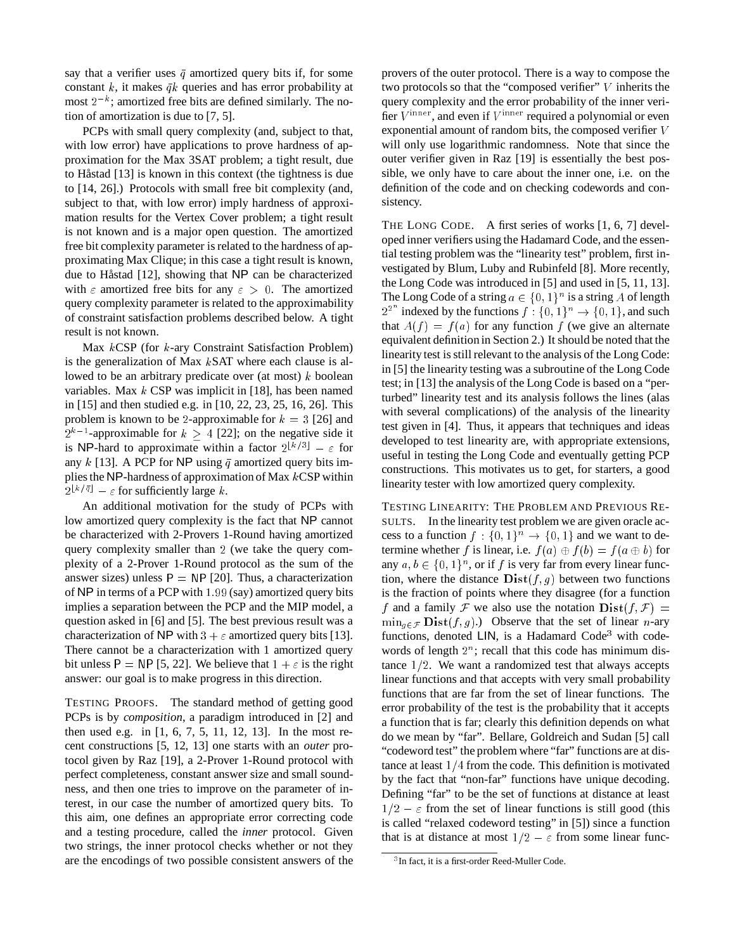say that a verifier uses  $\bar{q}$  amortized query bits if, for some constant k, it makes  $\bar{q}k$  queries and has error probability at most  $2^{-k}$ ; amortized free bits are defined similarly. The notion of amortization is due to [7, 5].

PCPs with small query complexity (and, subject to that, with low error) have applications to prove hardness of approximation for the Max 3SAT problem; a tight result, due to Håstad [13] is known in this context (the tightness is due to [14, 26].) Protocols with small free bit complexity (and, subject to that, with low error) imply hardness of approximation results for the Vertex Cover problem; a tight result is not known and is a major open question. The amortized free bit complexity parameter is related to the hardness of approximating Max Clique; in this case a tight result is known, due to Håstad  $[12]$ , showing that NP can be characterized with  $\varepsilon$  amortized free bits for any  $\varepsilon > 0$ . The amortized query complexity parameter is related to the approximability of constraint satisfaction problems described below. A tight result is not known.

Max kCSP (for k-ary Constraint Satisfaction Problem) is the generalization of Max  $k$ SAT where each clause is allowed to be an arbitrary predicate over (at most)  $k$  boolean variables. Max  $k$  CSP was implicit in [18], has been named in [15] and then studied e.g. in [10, 22, 23, 25, 16, 26]. This problem is known to be 2-approximable for  $k = 3$  [26] and  $2^{k-1}$ -approximable for  $k \geq 4$  [22]; on the negative side it is NP-hard to approximate within a factor  $2^{\lfloor k/3 \rfloor} - \varepsilon$  for any k [13]. A PCP for NP using  $\bar{q}$  amortized query bits implies the NP-hardness of approximation of Max  $k$ CSP within  $2^{\lfloor k/\bar{q}\rfloor} - \varepsilon$  for sufficiently large k.

An additional motivation for the study of PCPs with low amortized query complexity is the fact that NP cannot be characterized with 2-Provers 1-Round having amortized query complexity smaller than <sup>2</sup> (we take the query complexity of a 2-Prover 1-Round protocol as the sum of the answer sizes) unless  $P = NP$  [20]. Thus, a characterization of NP in terms of a PCP with 1:99 (say) amortized query bits implies a separation between the PCP and the MIP model, a question asked in [6] and [5]. The best previous result was a characterization of NP with  $3 + \varepsilon$  amortized query bits [13]. There cannot be a characterization with 1 amortized query bit unless P = NP [5, 22]. We believe that  $1 + \varepsilon$  is the right answer: our goal is to make progress in this direction.

TESTING PROOFS. The standard method of getting good PCPs is by *composition*, a paradigm introduced in [2] and then used e.g. in [1, 6, 7, 5, 11, 12, 13]. In the most recent constructions [5, 12, 13] one starts with an *outer* protocol given by Raz [19], a 2-Prover 1-Round protocol with perfect completeness, constant answer size and small soundness, and then one tries to improve on the parameter of interest, in our case the number of amortized query bits. To this aim, one defines an appropriate error correcting code and a testing procedure, called the *inner* protocol. Given two strings, the inner protocol checks whether or not they are the encodings of two possible consistent answers of the

provers of the outer protocol. There is a way to compose the two protocols so that the "composed verifier" <sup>V</sup> inherits the query complexity and the error probability of the inner verifier  $V^{\text{inner}}$ , and even if  $V^{\text{inner}}$  required a polynomial or even exponential amount of random bits, the composed verifier V will only use logarithmic randomness. Note that since the outer verifier given in Raz [19] is essentially the best possible, we only have to care about the inner one, i.e. on the definition of the code and on checking codewords and consistency.

THE LONG CODE. A first series of works [1, 6, 7] developed inner verifiers using the Hadamard Code, and the essential testing problem was the "linearity test" problem, first investigated by Blum, Luby and Rubinfeld [8]. More recently, the Long Code was introduced in [5] and used in [5, 11, 13]. The Long Code of a string  $a \in \{0, 1\}^n$  is a string A of length  $2^{2^n}$  indexed by the functions  $f: \{0, 1\}^n \to \{0, 1\}$ , and such that  $A(f) = f(a)$  for any function f (we give an alternate equivalent definition in Section 2.) It should be noted that the linearity test is still relevant to the analysis of the Long Code: in [5] the linearity testing was a subroutine of the Long Code test; in [13] the analysis of the Long Code is based on a "perturbed" linearity test and its analysis follows the lines (alas with several complications) of the analysis of the linearity test given in [4]. Thus, it appears that techniques and ideas developed to test linearity are, with appropriate extensions, useful in testing the Long Code and eventually getting PCP constructions. This motivates us to get, for starters, a good linearity tester with low amortized query complexity.

TESTING LINEARITY: THE PROBLEM AND PREVIOUS RE-SULTS. In the linearity test problem we are given oracle access to a function  $f : \{0, 1\}^n \to \{0, 1\}$  and we want to determine whether f is linear, i.e.  $f(a) \oplus f(b) = f(a \oplus b)$  for any  $a, b \in \{0, 1\}^n$ , or if f is very far from every linear function, where the distance  $\text{Dist}(f, g)$  between two functions is the fraction of points where they disagree (for a function f and a family F we also use the notation  $\text{Dist}(f, \mathcal{F}) =$  $\min_{g \in \mathcal{F}} \textbf{Dist}(f, g)$ .) Observe that the set of linear n-ary functions, denoted  $LIN$ , is a Hadamard Code<sup>3</sup> with codewords of length  $2^n$ ; recall that this code has minimum distance  $1/2$ . We want a randomized test that always accepts linear functions and that accepts with very small probability functions that are far from the set of linear functions. The error probability of the test is the probability that it accepts a function that is far; clearly this definition depends on what do we mean by "far". Bellare, Goldreich and Sudan [5] call "codeword test" the problem where "far" functions are at distance at least  $1/4$  from the code. This definition is motivated by the fact that "non-far" functions have unique decoding. Defining "far" to be the set of functions at distance at least  $1/2 - \varepsilon$  from the set of linear functions is still good (this is called "relaxed codeword testing" in [5]) since a function that is at distance at most  $1/2 - \varepsilon$  from some linear func-

<sup>3</sup> In fact, it is a first-order Reed-Muller Code.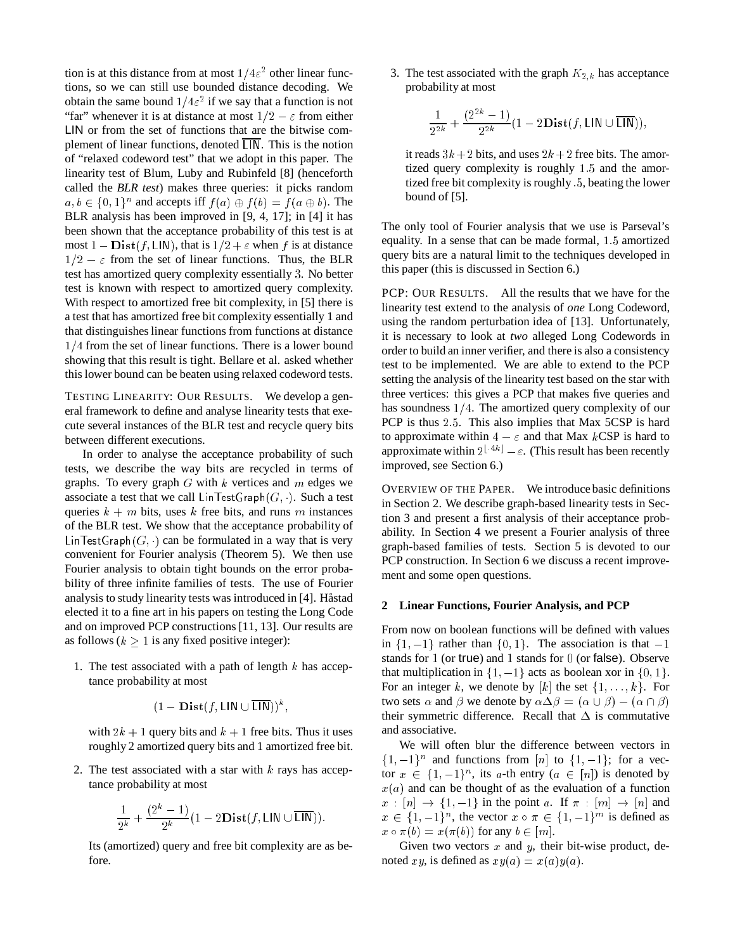tion is at this distance from at most  $1/4\varepsilon^2$  other linear functions, so we can still use bounded distance decoding. We obtain the same bound  $1/4\varepsilon^2$  if we say that a function is not "far" whenever it is at distance at most  $1/2 - \varepsilon$  from either LIN or from the set of functions that are the bitwise complement of linear functions, denoted  $\overline{L}$ . This is the notion of "relaxed codeword test" that we adopt in this paper. The linearity test of Blum, Luby and Rubinfeld [8] (henceforth called the *BLR test*) makes three queries: it picks random  $a, b \in \{0, 1\}^n$  and accepts iff  $f(a) \oplus f(b) = f(a \oplus b)$ . The BLR analysis has been improved in [9, 4, 17]; in [4] it has been shown that the acceptance probability of this test is at most  $1 - Dist(f, LIN)$ , that is  $1/2 + \varepsilon$  when f is at distance  $1/2 - \varepsilon$  from the set of linear functions. Thus, the BLR test has amortized query complexity essentially <sup>3</sup>. No better test is known with respect to amortized query complexity. With respect to amortized free bit complexity, in [5] there is a test that has amortized free bit complexity essentially 1 and that distinguishes linear functions from functions at distance  $1/4$  from the set of linear functions. There is a lower bound showing that this result is tight. Bellare et al. asked whether this lower bound can be beaten using relaxed codeword tests.

TESTING LINEARITY: OUR RESULTS. We develop a general framework to define and analyse linearity tests that execute several instances of the BLR test and recycle query bits between different executions.

In order to analyse the acceptance probability of such tests, we describe the way bits are recycled in terms of graphs. To every graph  $G$  with  $k$  vertices and  $m$  edges we associate a test that we call  $\textsf{LinTestGraph}(G, \cdot)$ . Such a test queries  $k + m$  bits, uses k free bits, and runs m instances of the BLR test. We show that the acceptance probability of Lin TestGraph( $G<sub>i</sub>$ ) can be formulated in a way that is very convenient for Fourier analysis (Theorem 5). We then use Fourier analysis to obtain tight bounds on the error probability of three infinite families of tests. The use of Fourier analysis to study linearity tests was introduced in [4]. Håstad elected it to a fine art in his papers on testing the Long Code and on improved PCP constructions [11, 13]. Our results are as follows ( $k > 1$  is any fixed positive integer):

1. The test associated with a path of length  $k$  has acceptance probability at most

$$
(1-\mathbf{Dist}(f,\mathsf{LIN}\cup\overline{\mathsf{LIN}}))^k,
$$

with  $2k + 1$  query bits and  $k + 1$  free bits. Thus it uses roughly 2 amortized query bits and 1 amortized free bit.

2. The test associated with a star with  $k$  rays has acceptance probability at most

$$
\frac{1}{2^k} + \frac{(2^k-1)}{2^k} (1-2 \mathbf{Dist}(f, \mathsf{LIN} \cup \overline{\mathsf{LIN}}))\,.
$$

Its (amortized) query and free bit complexity are as before.

3. The test associated with the graph  $K_{2,k}$  has acceptance probability at most

$$
\frac{1}{2^{2k}} + \frac{(2^{2k} - 1)}{2^{2k}}(1 - 2\mathbf{Dist}(f, \mathsf{LIN} \cup \overline{\mathsf{LIN}})),
$$

it reads  $3k + 2$  bits, and uses  $2k + 2$  free bits. The amortized query complexity is roughly 1:5 and the amortized free bit complexity is roughly :5, beating the lower bound of [5].

The only tool of Fourier analysis that we use is Parseval's equality. In a sense that can be made formal, 1:5 amortized query bits are a natural limit to the techniques developed in this paper (this is discussed in Section 6.)

PCP: OUR RESULTS. All the results that we have for the linearity test extend to the analysis of *one* Long Codeword, using the random perturbation idea of [13]. Unfortunately, it is necessary to look at *two* alleged Long Codewords in order to build an inner verifier, and there is also a consistency test to be implemented. We are able to extend to the PCP setting the analysis of the linearity test based on the star with three vertices: this gives a PCP that makes five queries and has soundness  $1/4$ . The amortized query complexity of our PCP is thus 2:5. This also implies that Max 5CSP is hard to approximate within  $4 - \varepsilon$  and that Max kCSP is hard to approximate within  $2^{\lfloor 4k \rfloor} - \varepsilon$ . (This result has been recently improved, see Section 6.)

OVERVIEW OF THE PAPER. We introduce basic definitions in Section 2. We describe graph-based linearity tests in Section 3 and present a first analysis of their acceptance probability. In Section 4 we present a Fourier analysis of three graph-based families of tests. Section 5 is devoted to our PCP construction. In Section 6 we discuss a recent improvement and some open questions.

#### **2 Linear Functions, Fourier Analysis, and PCP**

From now on boolean functions will be defined with values in  $\{1, -1\}$  rather than  $\{0, 1\}$ . The association is that  $-1$ stands for <sup>1</sup> (or true) and <sup>1</sup> stands for <sup>0</sup> (or false). Observe that multiplication in  $\{1, -1\}$  acts as boolean xor in  $\{0, 1\}.$ For an integer k, we denote by  $[k]$  the set  $\{1, \ldots, k\}$ . For two sets  $\alpha$  and  $\beta$  we denote by  $\alpha \Delta \beta = (\alpha \cup \beta) - (\alpha \cap \beta)$ their symmetric difference. Recall that  $\Delta$  is commutative and associative.

We will often blur the difference between vectors in  $\{1, -1\}^n$  and functions from [n] to  $\{1, -1\}$ ; for a vector  $x \in \{1, -1\}^n$ , its a-th entry  $(a \in [n])$  is denoted by  $x(a)$  and can be thought of as the evaluation of a function  $x : [n] \rightarrow \{1, -1\}$  in the point a. If  $\pi : [m] \rightarrow [n]$  and  $x \in \{1, -1\}^n$ , the vector  $x \circ \pi \in \{1, -1\}^m$  is defined as  $x \circ \pi(b) = x(\pi(b))$  for any  $b \in [m]$ .

Given two vectors  $x$  and  $y$ , their bit-wise product, denoted xy, is defined as  $xy(a) = x(a)y(a)$ .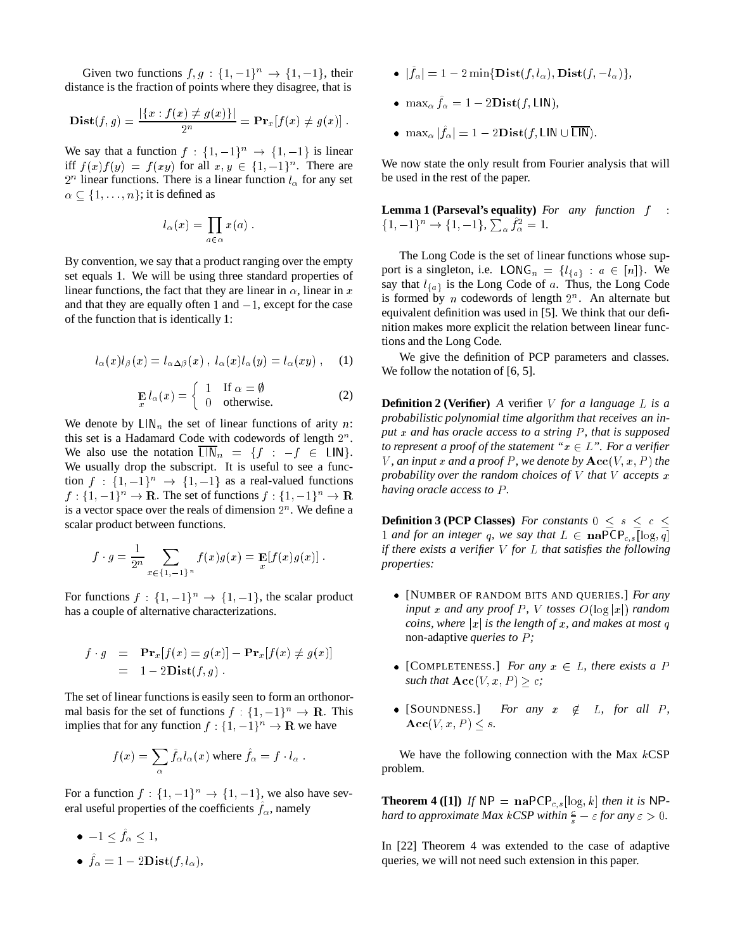Given two functions  $f, g : \{1, -1\}^n \to \{1, -1\}$ , their distance is the fraction of points where they disagree, that is

**Dist**
$$
(f,g) = \frac{|\{x : f(x) \neq g(x)\}|}{2^n} = \mathbf{Pr}_x[f(x) \neq g(x)].
$$

We say that a function  $f : \{1, -1\}^n \rightarrow \{1, -1\}$  is linear iff  $f(x)f(y) = f(xy)$  for all  $x, y \in \{1, -1\}^n$ . There are  $2^n$  linear functions. There is a linear function  $l_{\alpha}$  for any set  $\alpha \subset \{1, \ldots, n\}$ ; it is defined as

$$
l_{\alpha}(x) = \prod_{a \in \alpha} x(a) .
$$

By convention, we say that a product ranging over the empty set equals 1. We will be using three standard properties of linear functions, the fact that they are linear in  $\alpha$ , linear in x and that they are equally often 1 and  $-1$ , except for the case of the function that is identically 1:

$$
l_{\alpha}(x)l_{\beta}(x) = l_{\alpha\Delta\beta}(x) , l_{\alpha}(x)l_{\alpha}(y) = l_{\alpha}(xy) , \quad (1)
$$

$$
\mathbf{E}_{x} l_{\alpha}(x) = \begin{cases} 1 & \text{If } \alpha = \emptyset \\ 0 & \text{otherwise.} \end{cases}
$$
 (2)

We denote by  $LIN_n$  the set of linear functions of arity n: this set is a Hadamard Code with codewords of length  $2<sup>n</sup>$ . We also use the notation  $\overline{\text{LIN}}_n = \{f : -f \in \text{LIN}\}.$ We usually drop the subscript. It is useful to see a function  $f : \{1, -1\}^n \rightarrow \{1, -1\}$  as a real-valued functions  $f: \{1, -1\}^n \to \mathbf{R}$ . The set of functions  $f: \{1, -1\}^n \to \mathbf{R}$ is a vector space over the reals of dimension  $2<sup>n</sup>$ . We define a scalar product between functions.

$$
f \cdot g = \frac{1}{2^n} \sum_{x \in \{1, -1\}^n} f(x)g(x) = \mathbf{E}[f(x)g(x)].
$$

For functions  $f : \{1, -1\}^n \to \{1, -1\}$ , the scalar product has a couple of alternative characterizations.

$$
f \cdot g = \mathbf{Pr}_x[f(x) = g(x)] - \mathbf{Pr}_x[f(x) \neq g(x)]
$$
  
= 1 - 2\mathbf{Dist}(f, g)

The set of linear functions is easily seen to form an orthonormal basis for the set of functions  $f : \{1, -1\}^n \to \mathbb{R}$ . This implies that for any function  $f : \{1, -1\}^n \to \mathbf{R}$  we have

$$
f(x) = \sum_{\alpha} \hat{f}_{\alpha} l_{\alpha}(x) \text{ where } \hat{f}_{\alpha} = f \cdot l_{\alpha} .
$$

For a function  $f: \{1, -1\}^n \rightarrow \{1, -1\}$ , we also have several useful properties of the coefficients  $f_\alpha$ , namely

- $\bullet$   $-1 \leq f_{\alpha} \leq 1$ ,
- $f_{\alpha} = 1 2\mathbf{Dist}(f, l_{\alpha}),$
- $\bullet \ \ |f_{\alpha}| = 1 2 \min\{\textbf{Dist}(f, l_{\alpha}), \textbf{Dist}(f, -l_{\alpha})\},$
- max<sub> $\alpha$ </sub>  $f_{\alpha} = 1 2$ **D** is t(f, LIN),
- $\max_{\alpha} |f_{\alpha}| = 1 2$ Dist $(f, \text{LIN} \cup \text{LIN}).$

We now state the only result from Fourier analysis that will be used in the rest of the paper.

**Lemma 1 (Parseval's equality)** *For any function* f :  $\{1, -1\}^n \to \{1, -1\}, \sum_{\alpha} f_{\alpha}^2 = 1.$ 

The Long Code is the set of linear functions whose support is a singleton, i.e. LONG<sub>n</sub> = { $l_{a}$ } :  $a \in [n]$ }. We say that  $l_{\{a\}}$  is the Long Code of a. Thus, the Long Code is formed by *n* codewords of length  $2^n$ . An alternate but equivalent definition was used in [5]. We think that our definition makes more explicit the relation between linear functions and the Long Code.

We give the definition of PCP parameters and classes. We follow the notation of [6, 5].

**Definition 2 (Verifier)** *A* verifier <sup>V</sup> *for a language* <sup>L</sup> *is a probabilistic polynomial time algorithm that receives an input* x and has oracle access to a string P, that is supposed *to represent a proof of the statement "* $x \in L$ *". For a verifier* V, an input x and a proof P, we denote by  $\text{Acc}(V, x, P)$  the *probability over the random choices of* V *that* V *accepts* x *having oracle access to* P *.*

**Definition 3 (PCP Classes)** *For constants*  $0 \leq s \leq c \leq$ 1 *and for an integer* q, we say that  $L \in \textbf{naPCP}_{c,s}[\log q]$ *if there exists a verifier* V *for* L *that satisfies the following properties:*

- [NUMBER OF RANDOM BITS AND QUERIES.] *For any*  $input x$  *and any proof*  $P$ *, V tosses*  $O(log |x|)$  *random coins, where*  $|x|$  *is the length of* x, and makes at most q non-adaptive *queries to* P *;*
- [COMPLETENESS.] *For any*  $x \in L$ *, there exists a* P *such that*  $\text{Acc}(V, x, P) > c$ *;*
- [SOUNDNESS.] *For any*  $x \notin L$ *, for all* P*,*  $\textbf{Acc}(V, x, P) \leq s.$

We have the following connection with the Max  $kCSP$ problem.

**Theorem 4** ([1]) If  $NP = naPCP_{c,s}[\log_k k]$  *then it is* NP*hard to approximate Max*  $k$  *CSP* within  $\frac{c}{s} - \varepsilon$  for any  $\varepsilon > 0$ .

In [22] Theorem 4 was extended to the case of adaptive queries, we will not need such extension in this paper.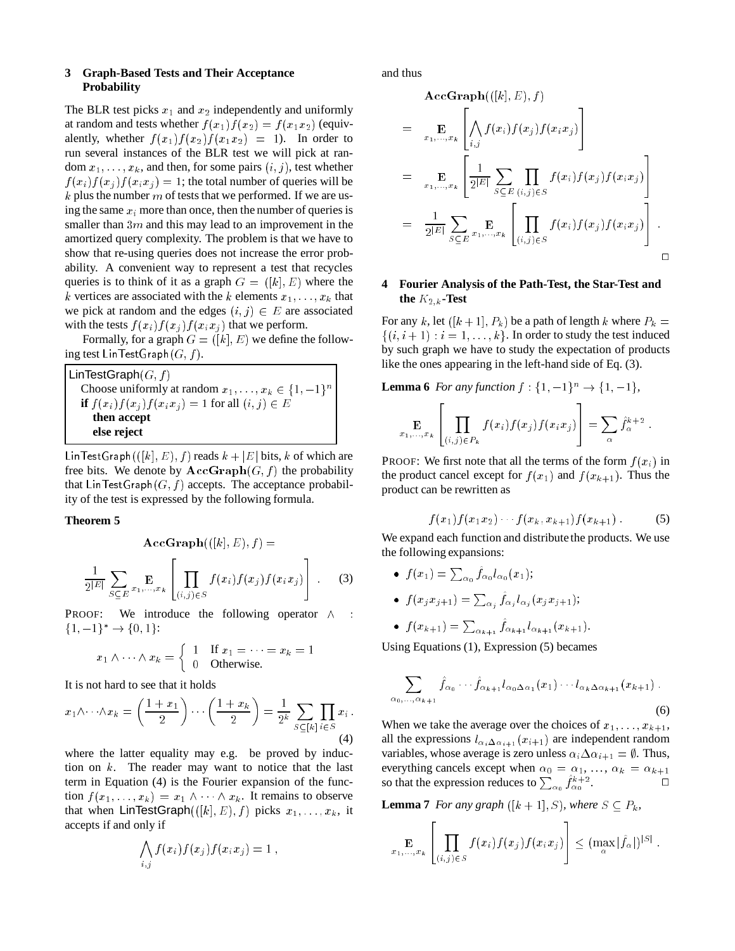## **3 Graph-Based Tests and Their Acceptance Probability**

The BLR test picks  $x_1$  and  $x_2$  independently and uniformly at random and tests whether  $f(x_1) f(x_2) = f(x_1 x_2)$  (equivalently, whether  $f(x_1)f(x_2)f(x_1x_2) = 1$ ). In order to run several instances of the BLR test we will pick at random  $x_1, \ldots, x_k$ , and then, for some pairs  $(i, j)$ , test whether  $f(x_i)f(x_j)f(x_ix_j) = 1$ ; the total number of queries will be  $k$  plus the number  $m$  of tests that we performed. If we are using the same  $x_i$  more than once, then the number of queries is smaller than  $3m$  and this may lead to an improvement in the amortized query complexity. The problem is that we have to show that re-using queries does not increase the error probability. A convenient way to represent a test that recycles queries is to think of it as a graph  $G = ([k], E)$  where the k vertices are associated with the k elements  $x_1, \ldots, x_k$  that we pick at random and the edges  $(i, j) \in E$  are associated with the tests  $f(x_i) f(x_i) f(x_i x_j)$  that we perform.

Formally, for a graph  $G = ([k], E)$  we define the following test LinTestGraph  $(G, f)$ .

LinTestGraph $(G, f)$ Choose uniformly at random  $x_1, \ldots, x_k \in \{1, -1\}^n$ **if**  $f(x_i) f(x_j) f(x_i x_j) = 1$  for all  $(i, j) \in E$ **then accept else reject**

Lin TestGraph  $((k], E), f$  reads  $k + |E|$  bits, k of which are free bits. We denote by  $\text{AccGraph}(G, f)$  the probability that LinTestGraph( $G, f$ ) accepts. The acceptance probability of the test is expressed by the following formula.

# **Theorem 5**

$$
\operatorname{AccGraph}(([k], E), f) = \frac{1}{2^{|E|} \sum_{S \subseteq E} \mathbf{E} \left[ \prod_{(i,j) \in S} f(x_i) f(x_j) f(x_i x_j) \right] \quad (3)
$$

PROOF: We introduce the following operator  $\wedge$  :  ${1, -1}^* \rightarrow {0, 1}$ :

$$
x_1 \wedge \cdots \wedge x_k = \begin{cases} 1 & \text{If } x_1 = \cdots = x_k = 1 \\ 0 & \text{Otherwise.} \end{cases}
$$

It is not hard to see that it holds

$$
x_1 \wedge \cdots \wedge x_k = \left(\frac{1+x_1}{2}\right) \cdots \left(\frac{1+x_k}{2}\right) = \frac{1}{2^k} \sum_{S \subseteq [k]} \prod_{i \in S} x_i.
$$
\n(4)

where the latter equality may e.g. be proved by induction on k. The reader may want to notice that the last term in Equation (4) is the Fourier expansion of the function  $f(x_1, \ldots, x_k) = x_1 \wedge \cdots \wedge x_k$ . It remains to observe that when LinTestGraph $((k], E), f$  picks  $x_1, \ldots, x_k$ , it accepts if and only if

$$
\bigwedge_{i,j} f(x_i) f(x_j) f(x_i x_j) = 1 ,
$$

and thus

$$
\begin{split}\n&\mathbf{AccGraph}(((k], E), f) \\
&= \mathop{\mathbf{E}}_{x_1, \dots, x_k} \left[ \bigwedge_{i,j} f(x_i) f(x_j) f(x_i x_j) \right] \\
&= \mathop{\mathbf{E}}_{x_1, \dots, x_k} \left[ \frac{1}{2^{|E|}} \sum_{S \subseteq E} \prod_{(i,j) \in S} f(x_i) f(x_j) f(x_i x_j) \right] \\
&= \frac{1}{2^{|E|}} \sum_{S \subseteq E} \mathop{\mathbf{E}}_{x_1, \dots, x_k} \left[ \prod_{(i,j) \in S} f(x_i) f(x_j) f(x_i x_j) \right].\n\end{split}
$$

# **4 Fourier Analysis of the Path-Test, the Star-Test and the**  $K_{2,k}$ **-Test**

For any k, let  $([k+1], P_k)$  be a path of length k where  $P_k =$  $\{(i, i + 1) : i = 1, \ldots, k\}$ . In order to study the test induced by such graph we have to study the expectation of products like the ones appearing in the left-hand side of Eq. (3).

**Lemma 6** *For any function*  $f : \{1, -1\}^n \to \{1, -1\}$ ,

$$
\mathop{\mathbf{E}}_{x_1,\ldots,x_k}\left[\prod_{(i,j)\in P_k}f(x_i)f(x_j)f(x_ix_j)\right] = \sum_{\alpha}\hat{f}_{\alpha}^{k+2}.
$$

PROOF: We first note that all the terms of the form  $f(x_i)$  in the product cancel except for  $f(x_1)$  and  $f(x_{k+1})$ . Thus the product can be rewritten as

$$
f(x_1) f(x_1 x_2) \cdots f(x_k, x_{k+1}) f(x_{k+1}) \tag{5}
$$

 $\sim$ 

We expand each function and distribute the products. We use the following expansions:

 $\bullet$   $f(x_1) = \sum_{\alpha} f_{\alpha} l_{\alpha} (x_1);$ 0

<sup>2</sup>

• 
$$
f(x_j x_{j+1}) = \sum_{\alpha_j} \hat{f}_{\alpha_j} l_{\alpha_j}(x_j x_{j+1});
$$

• 
$$
f(x_{k+1}) = \sum_{\alpha_{k+1}} \hat{f}_{\alpha_{k+1}} l_{\alpha_{k+1}}(x_{k+1}).
$$

Using Equations (1), Expression (5) becames

$$
\sum_{\alpha_0,\ldots,\alpha_{k+1}} \hat{f}_{\alpha_0}\cdots\hat{f}_{\alpha_{k+1}} l_{\alpha_0 \Delta \alpha_1}(x_1)\cdots l_{\alpha_k \Delta \alpha_{k+1}}(x_{k+1})\ .
$$
 (6)

When we take the average over the choices of  $x_1, \ldots, x_{k+1}$ , all the expressions  $l_{\alpha i \Delta \alpha i+1} (x_{i+1})$  are independent random variables, whose average is zero unless  $\alpha_i \Delta \alpha_{i+1} = \emptyset$ . Thus, everything cancels except when  $\alpha_0 = \alpha_1, \ldots, \alpha_k = \alpha_{k+1}$ so that the expression reduces to  $\sum_{\alpha_0} f_{\alpha_0}^{k+2}$ . — П

**Lemma 7** *For any graph* ([k + 1], S), where  $S \subseteq P_k$ ,

$$
\mathop{\mathbf{E}}_{x_1,\ldots,x_k}\left[\prod_{(i,j)\in S} f(x_i)f(x_j)f(x_ix_j)\right] \leq (\max_{\alpha}|\hat{f}_{\alpha}|)^{|S|}
$$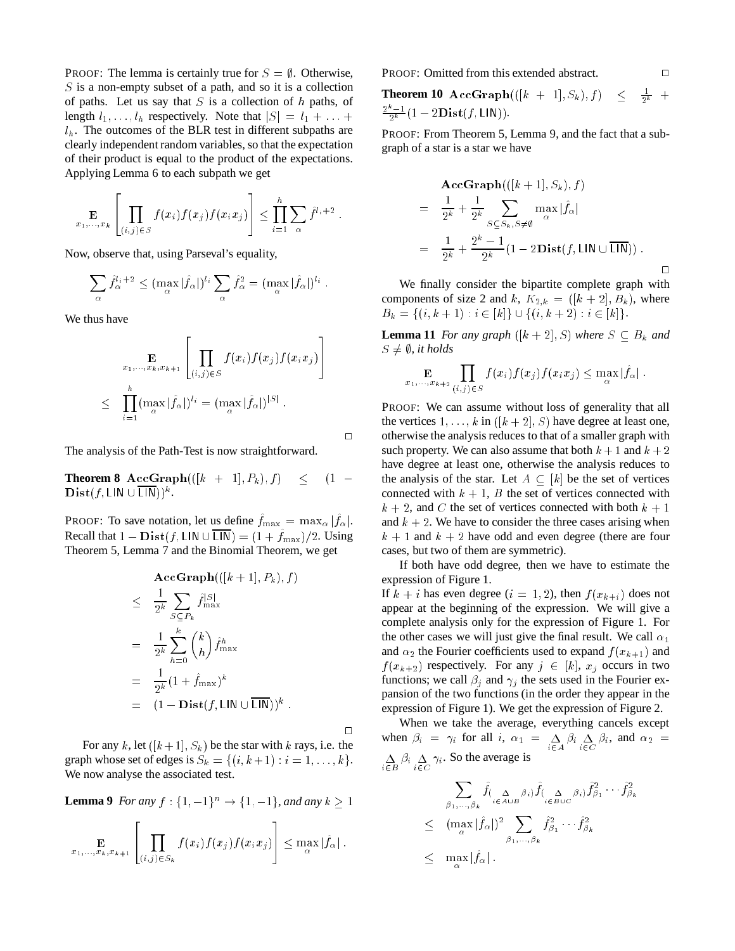PROOF: The lemma is certainly true for  $S = \emptyset$ . Otherwise,  $S$  is a non-empty subset of a path, and so it is a collection of paths. Let us say that  $S$  is a collection of  $h$  paths, of length  $l_1, \ldots, l_h$  respectively. Note that  $|S| = l_1 + \ldots + l_h$  $l_h$ . The outcomes of the BLR test in different subpaths are clearly independent random variables, so that the expectation of their product is equal to the product of the expectations. Applying Lemma 6 to each subpath we get

$$
\mathop{\mathbf{E}}_{x_1,\ldots,x_k}\left[\prod_{(i,j)\in S}f(x_i)f(x_j)f(x_ix_j)\right] \leq \prod_{i=1}^h \sum_{\alpha} \hat{f}^{l_i+2}
$$

Now, observe that, using Parseval's equality,

$$
\sum_{\alpha} \hat{f}_{\alpha}^{l_i+2} \leq (\max_{\alpha} |\hat{f}_{\alpha}|)^{l_i} \sum_{\alpha} \hat{f}_{\alpha}^2 = (\max_{\alpha} |\hat{f}_{\alpha}|)^{l_i}.
$$

We thus have

$$
\mathbf{E}_{x_1,\ldots,x_k,x_{k+1}}\left[\prod_{(i,j)\in S}f(x_i)f(x_j)f(x_ix_j)\right]
$$
  

$$
\leq \prod_{i=1}^h (\max_{\alpha}|\hat{f}_{\alpha}|)^{l_i} = (\max_{\alpha}|\hat{f}_{\alpha}|)^{|S|}.
$$

 $\Box$ 

The analysis of the Path-Test is now straightforward.

**Theorem 8**  ${\bf AccGraph}(([k + 1], P_k), f)$  <  $(1 \mathbf{Dist}(f, \mathsf{LIN} \cup \mathsf{LIN}))^k$  .

PROOF: To save notation, let us define  $f_{\text{max}} = \max_{\alpha} |f_{\alpha}|$ . Recall that  $1 - Dist(f, \text{LIN} \cup \text{LIN}) = (1 + f_{\text{max}})/2$ . Using Theorem 5, Lemma 7 and the Binomial Theorem, we get

$$
\begin{split}\n&\mathbf{AccGraph}(((k+1], P_k), f) \\
&\leq \frac{1}{2^k} \sum_{S \subseteq P_k} \hat{f}_{\max}^{|S|} \\
&= \frac{1}{2^k} \sum_{h=0}^k {k \choose h} \hat{f}_{\max}^h \\
&= \frac{1}{2^k} (1 + \hat{f}_{\max})^k \\
&= (1 - \mathbf{Dist}(f, \mathsf{LIN} \cup \overline{\mathsf{LIN}}))^k .\n\end{split}
$$

 $\Box$ 

For any k, let  $([k+1], S_k)$  be the star with k rays, i.e. the graph whose set of edges is  $S_k = \{(i, k+1) : i = 1, \ldots, k\}.$ We now analyse the associated test.

**Lemma 9** *For any*  $f : \{1, -1\}^n \to \{1, -1\}$ *, and any*  $k > 1$ 

$$
\mathop{\mathbf{E}}_{x_1,\ldots,x_k,x_{k+1}}\left[\prod_{(i,j)\in S_k}f(x_i)f(x_j)f(x_ix_j)\right]\leq \max_{\alpha}|\hat{f}_{\alpha}|.
$$

PROOF: Omitted from this extended abstract.

**Theorem 10**  $\text{AccGraph}(([k + 1], S_k), f) \leq$  $\frac{1}{2^k}$  +  $\frac{2^k-1}{2^k}(1-2\mathbf{Dist}(f, \mathsf{LIN})).$ 

PROOF: From Theorem 5, Lemma 9, and the fact that a subgraph of a star is a star we have

$$
\begin{split} &\mathbf{AccGraph}(((k+1), S_k), f) \\ &= \frac{1}{2^k} + \frac{1}{2^k} \sum_{S \subseteq S_k, S \neq \emptyset} \max_{\alpha} |\hat{f}_{\alpha}| \\ &= \frac{1}{2^k} + \frac{2^k - 1}{2^k} (1 - 2\mathbf{Dist}(f, \mathsf{LIN} \cup \overline{\mathsf{LIN}})) \end{split}
$$

We finally consider the bipartite complete graph with components of size 2 and k,  $K_{2,k} = ([k+2], B_k)$ , where  $B_k = \{(i, k + 1) : i \in [k]\} \cup \{(i, k + 2) : i \in [k]\}.$ 

**Lemma 11** *For any graph*  $([k+2], S)$  *where*  $S \subseteq B_k$  *and*  $S \neq \emptyset$ , it holds

$$
\mathop{\mathbf{E}}_{x_1,\ldots,x_{k+2}} \prod_{(i,j)\in S} f(x_i) f(x_j) f(x_i x_j) \leq \max_{\alpha} |\hat{f}_{\alpha}|.
$$

PROOF: We can assume without loss of generality that all the vertices  $1, \ldots, k$  in  $([k+2], S)$  have degree at least one, otherwise the analysis reduces to that of a smaller graph with such property. We can also assume that both  $k + 1$  and  $k + 2$ have degree at least one, otherwise the analysis reduces to the analysis of the star. Let  $A \subset [k]$  be the set of vertices connected with  $k + 1$ , B the set of vertices connected with  $k + 2$ , and C the set of vertices connected with both  $k + 1$ and  $k + 2$ . We have to consider the three cases arising when  $k + 1$  and  $k + 2$  have odd and even degree (there are four cases, but two of them are symmetric).

If both have odd degree, then we have to estimate the expression of Figure 1.

If  $k + i$  has even degree  $(i = 1, 2)$ , then  $f(x_{k+i})$  does not appear at the beginning of the expression. We will give a complete analysis only for the expression of Figure 1. For the other cases we will just give the final result. We call  $\alpha_1$ and  $\alpha_2$  the Fourier coefficients used to expand  $f(x_{k+1})$  and  $f(x_{k+2})$  respectively. For any  $j \in [k]$ ,  $x_j$  occurs in two functions; we call  $\beta_i$  and  $\gamma_i$  the sets used in the Fourier expansion of the two functions (in the order they appear in the expression of Figure 1). We get the expression of Figure 2.

When we take the average, everything cancels except when  $\beta_i = \gamma_i$  for all  $i, \alpha_1 = \sum_{i \in A} \beta_i \sum_{i \in C} \beta_i$ , and  $\alpha_2 =$  $\sum_{i \in B} \beta_i \sum_{i \in C} \gamma_i$ . So the average is

$$
\sum_{\beta_1,\dots,\beta_k} \hat{f}_{(\Delta_{\alpha B} \beta_i)} \hat{f}_{(\Delta_{\beta B} \beta_i)} \hat{f}_{\beta_1} \cdots \hat{f}_{\beta_k}
$$
\n
$$
\leq (\max_{\alpha} |\hat{f}_{\alpha}|)^2 \sum_{\beta_1,\dots,\beta_k} \hat{f}_{\beta_1}^2 \cdots \hat{f}_{\beta_k}^2
$$
\n
$$
\leq \max_{\alpha} |\hat{f}_{\alpha}|.
$$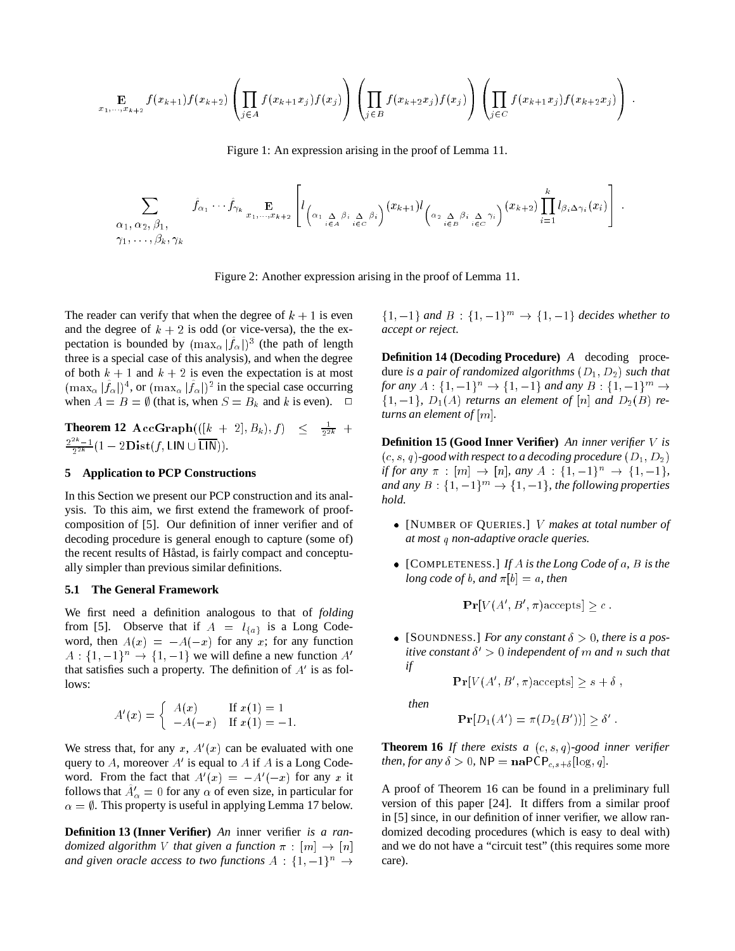$$
\mathop{\mathbf{E}}_{x_1,\ldots,x_{k+2}} f(x_{k+1}) f(x_{k+2}) \left( \prod_{j \in A} f(x_{k+1} x_j) f(x_j) \right) \left( \prod_{j \in B} f(x_{k+2} x_j) f(x_j) \right) \left( \prod_{j \in C} f(x_{k+1} x_j) f(x_{k+2} x_j) \right).
$$

Figure 1: An expression arising in the proof of Lemma 11.

$$
\sum_{\substack{\alpha_1,\alpha_2,\beta_1,\ \gamma_1,\ \ldots,\beta_k,\gamma_k}} \hat{f}_{\alpha_1} \cdots \hat{f}_{\gamma_k} \mathbf{E}_{x_1,\ldots,x_{k+2}} \left[ l_{\left(\alpha_1 \sum_{i \in A} \beta_i \sum_{i \in C} \beta_i\right)} (x_{k+1}) l_{\left(\alpha_2 \sum_{i \in B} \beta_i \sum_{i \in C} \gamma_i\right)} (x_{k+2}) \prod_{i=1}^k l_{\beta_i \Delta \gamma_i}(x_i) \right]
$$

Figure 2: Another expression arising in the proof of Lemma 11.

The reader can verify that when the degree of  $k + 1$  is even and the degree of  $k + 2$  is odd (or vice-versa), the the expectation is bounded by  $(\max_{\alpha} |f_{\alpha}|)^3$  (the path of length three is a special case of this analysis), and when the degree of both  $k + 1$  and  $k + 2$  is even the expectation is at most  $(\max_{\alpha} |f_{\alpha}|)^4$ , or  $(\max_{\alpha} |f_{\alpha}|)^2$  in the special case occurring when  $A = B = \emptyset$  (that is, when  $S = B_k$  and k is even).  $\Box$ 

**Theorem 12**  ${\bf AccGraph}(([k+2], B_k), f) \;\;\leq\;\; \frac{1}{2^{2k}} \;\; +$  $\frac{2^{2k}-1}{2^{2k}}(1-2\mathbf{Dist}(f,\mathsf{LIN}\cup\overline{\mathsf{LIN}})).$ 

#### **5 Application to PCP Constructions**

In this Section we present our PCP construction and its analysis. To this aim, we first extend the framework of proofcomposition of [5]. Our definition of inner verifier and of decoding procedure is general enough to capture (some of) the recent results of Håstad, is fairly compact and conceptually simpler than previous similar definitions.

#### **5.1 The General Framework**

We first need a definition analogous to that of *folding* from [5]. Observe that if  $A = l_{\{a\}}$  is a Long Codeword, then  $A(x) = -A(-x)$  for any x; for any function  $A: \{1, -1\}^n \rightarrow \{1, -1\}$  we will define a new function A' that satisfies such a property. The definition of  $A'$  is as follows:

$$
A'(x) = \begin{cases} A(x) & \text{If } x(1) = 1 \\ -A(-x) & \text{If } x(1) = -1. \end{cases}
$$

We stress that, for any  $x$ ,  $A'(x)$  can be evaluated with one query to A, moreover  $A'$  is equal to A if A is a Long Codeword. From the fact that  $A'(x) = -A'(-x)$  for any x it follows that  $A^{\prime}_{\alpha} = 0$  for any  $\alpha$  of even size, in particular for  $\alpha = \emptyset$ . This property is useful in applying Lemma 17 below.

**Definition 13 (Inner Verifier)** *An* inner verifier *is a randomized algorithm* V *that given a function*  $\pi$  :  $[m] \rightarrow [n]$ *and given oracle access to two functions*  $A : \{1, -1\}^n \rightarrow$ 

 ${1, -1}$  *and*  $B : {1, -1}^m \to {1, -1}$  *decides whether to accept or reject.*

**Definition 14 (Decoding Procedure)** *A* decoding procedure *is a pair of randomized algorithms* (D1; D2) *such that for any*  $A: \{1, -1\}^n \to \{1, -1\}$  *and any*  $B: \{1, -1\}^m \to$  $\{1, -1\}$ ,  $D_1(A)$  *returns an element of* [n] *and*  $D_2(B)$  *returns an element of* [m]*.*

**Definition 15 (Good Inner Verifier)** *An inner verifier* V *is*  $(c, s, q)$ -good with respect to a decoding procedure  $(D_1, D_2)$ *if for any*  $\pi$  :  $[m] \to [n]$ *, any*  $A : \{1, -1\}^n \to \{1, -1\}$ *, and any*  $B: \{1, -1\}^m \rightarrow \{1, -1\}$ *, the following properties hold.*

- [NUMBER OF QUERIES.] V *makes at total number of at most* q *non-adaptive oracle queries.*
- [COMPLETENESS.] *If* A *is the Long Code of* a*,* B *is the long code of b, and*  $\pi[b] = a$ *, then*

$$
\mathbf{Pr}[V(A', B', \pi) \text{ accepts}] \ge c.
$$

• [SOUNDNESS.] *For any constant*  $\delta > 0$ *, there is a positive constant*  $\delta' > 0$  *independent of* m *and* n *such that if*

$$
\mathbf{Pr}[V(A', B', \pi) \text{ accepts}] \ge s + \delta ,
$$

*then*

$$
\mathbf{Pr}[D_1(A') = \pi(D_2(B'))] \ge \delta' .
$$

**Theorem 16** *If there exists a*  $(c, s, q)$ *-good inner verifier then, for any*  $\delta > 0$ ,  $\mathsf{NP} = \mathbf{n}\mathsf{aPCP}_{c,s+\delta}[\log,q].$ 

A proof of Theorem 16 can be found in a preliminary full version of this paper [24]. It differs from a similar proof in [5] since, in our definition of inner verifier, we allow randomized decoding procedures (which is easy to deal with) and we do not have a "circuit test" (this requires some more care).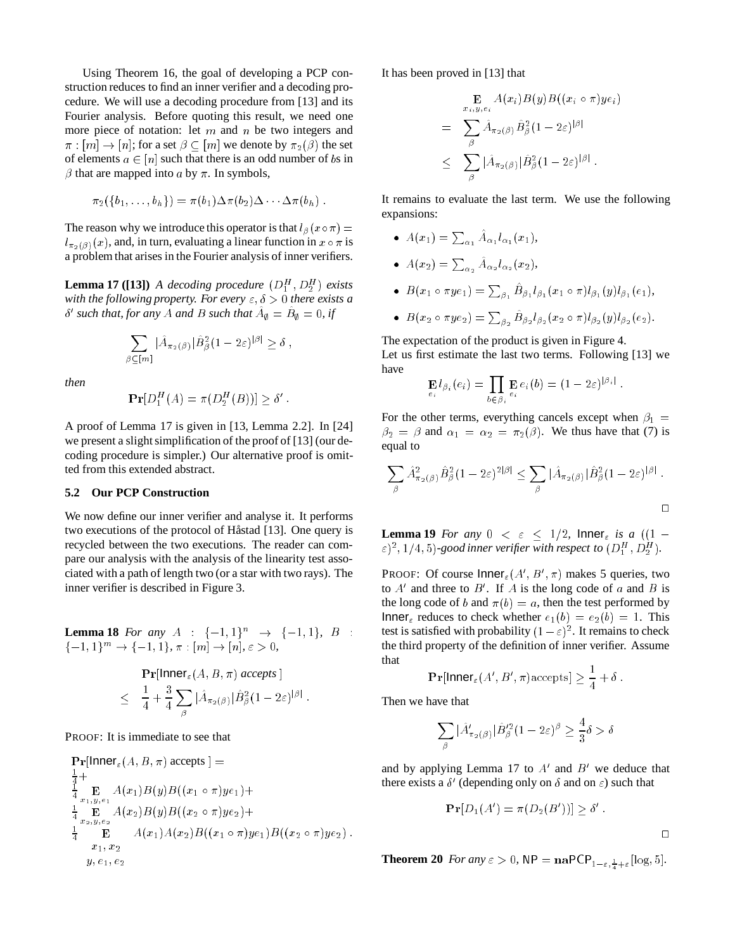Using Theorem 16, the goal of developing a PCP construction reduces to find an inner verifier and a decoding procedure. We will use a decoding procedure from [13] and its Fourier analysis. Before quoting this result, we need one more piece of notation: let  $m$  and  $n$  be two integers and  $\pi : [m] \to [n]$ ; for a set  $\beta \subset [m]$  we denote by  $\pi_2(\beta)$  the set of elements  $a \in [n]$  such that there is an odd number of bs in  $\beta$  that are mapped into a by  $\pi$ . In symbols,

$$
\pi_2(\lbrace b_1,\ldots,b_h\rbrace)=\pi(b_1)\Delta\pi(b_2)\Delta\cdots\Delta\pi(b_h).
$$

The reason why we introduce this operator is that  $l_\beta(x \circ \pi) =$  $l_{\pi_2(\beta)}(x)$ , and, in turn, evaluating a linear function in  $x \circ \pi$  is a problem that arises in the Fourier analysis of inner verifiers.

**Lemma 17** ([13]) *A decoding procedure*  $(D_1^H, D_2^H)$  *exists with the following property. For every*  $\varepsilon$ ,  $\delta > 0$  *there exists a*  $\delta'$  such that, for any A and B such that  $A_{\emptyset} = B_{\emptyset} = 0$ , if

$$
\sum_{\beta \subseteq [m]} |\hat{A}_{\pi_2(\beta)}| \hat{B}_{\beta}^2 (1 - 2\varepsilon)^{|\beta|} \ge \delta ,
$$

*then*

$$
\mathbf{Pr}[D_1^H(A) = \pi(D_2^H(B))] \ge \delta'
$$

A proof of Lemma 17 is given in [13, Lemma 2.2]. In [24] we present a slight simplification of the proof of [13] (our decoding procedure is simpler.) Our alternative proof is omitted from this extended abstract.

### **5.2 Our PCP Construction**

We now define our inner verifier and analyse it. It performs two executions of the protocol of Håstad [13]. One query is recycled between the two executions. The reader can compare our analysis with the analysis of the linearity test associated with a path of length two (or a star with two rays). The inner verifier is described in Figure 3.

**Lemma 18** *For any*  $A : \{-1, 1\}^n \rightarrow \{-1, 1\}$ ,  $B :$  $\{-1, 1\}^m \to \{-1, 1\}, \pi : [m] \to [n], \varepsilon > 0,$ 

$$
\begin{aligned}\n&\Pr[\mathsf{Inner}_{\varepsilon}(A, B, \pi) \text{ accepts}] \\
&\leq \frac{1}{4} + \frac{3}{4} \sum_{\beta} |\hat{A}_{\pi_2(\beta)}| \hat{B}_{\beta}^2 (1 - 2\varepsilon)^{|\beta|}.\n\end{aligned}
$$

PROOF: It is immediate to see that

$$
\begin{aligned}\n\mathbf{Pr}[\text{Inner}_{\varepsilon}(A, B, \pi) \text{ accepts}] &= \\
\frac{1}{4} + \frac{1}{4} \mathbf{E} \mathbf{E} A(x_1) B(y) B((x_1 \circ \pi) y e_1) + \\
\frac{1}{4} \mathbf{E} \mathbf{E} A(x_2) B(y) B((x_2 \circ \pi) y e_2) + \\
\frac{1}{4} \mathbf{E} \mathbf{E} A(x_1) A(x_2) B((x_1 \circ \pi) y e_1) B((x_2 \circ \pi) y e_2) . \\
x_1, x_2 \\
y, e_1, e_2\n\end{aligned}
$$

It has been proved in [13] that

$$
\mathbf{E}_{x_i, y, \epsilon_i} A(x_i) B(y) B((x_i \circ \pi) y \epsilon_i)
$$
\n
$$
= \sum_{\beta} \hat{A}_{\pi_2(\beta)} \hat{B}_{\beta}^2 (1 - 2\varepsilon)^{|\beta|}
$$
\n
$$
\leq \sum_{\beta} |\hat{A}_{\pi_2(\beta)}| \hat{B}_{\beta}^2 (1 - 2\varepsilon)^{|\beta|} .
$$

It remains to evaluate the last term. We use the following expansions:

- $A(x_1) = \sum_{\alpha_1} A_{\alpha_1} l_{\alpha_1}(x_1),$
- $A(x_2) = \sum_{\alpha_2} A_{\alpha_2} l_{\alpha_2}(x_2),$
- $\bullet~~ B(x_{1}\circ \pi y_{e\,1})=\sum_{\beta_{1}}B_{\beta_{1}}l_{\beta_{1}}(x_{1}\circ \pi)l_{\beta_{1}}(y)l_{\beta_{1}}(e_{1}),$
- $\bullet~~ B(x_{2}\circ \pi ye_{2})=\sum_{\beta_{2}} B_{\beta_{2}}l_{\beta_{2}}(x_{2}\circ \pi)l_{\beta_{2}}(y)l_{\beta_{2}}(e_{2}).$

The expectation of the product is given in Figure 4. Let us first estimate the last two terms. Following [13] we have

$$
\mathbf{E}_{e_i} l_{\beta_i}(e_i) = \prod_{b \in \beta_i} \mathbf{E}_{e_i} e_i(b) = (1 - 2\varepsilon)^{|\beta_i|}
$$

For the other terms, everything cancels except when  $\beta_1 =$  $\beta_2 = \beta$  and  $\alpha_1 = \alpha_2 = \pi_2(\beta)$ . We thus have that (7) is equal to

$$
\sum_{\beta} \hat{A}_{\pi_2(\beta)}^2 \hat{B}_{\beta}^2 (1 - 2\varepsilon)^{2|\beta|} \leq \sum_{\beta} |\hat{A}_{\pi_2(\beta)}| \hat{B}_{\beta}^2 (1 - 2\varepsilon)^{|\beta|}.
$$

**Lemma 19** For any  $0 \le \varepsilon \le 1/2$ , Inner<sub> $\varepsilon$ </sub> is a ((1 - $\epsilon$ )<sup>2</sup>, 1/4, 5)-good inner verifier with respect to  $(D_1^H, D_2^H)$ .

PROOF: Of course  $\mathsf{Inner}_{\varepsilon}(A', B', \pi)$  makes 5 queries, two to  $A'$  and three to  $B'$ . If A is the long code of a and B is the long code of b and  $\pi(b) = a$ , then the test performed by Inner<sub> $\varepsilon$ </sub> reduces to check whether  $e_1(b) = e_2(b) = 1$ . This test is satisfied with probability  $(1 - \varepsilon)^2$ . It remains to check the third property of the definition of inner verifier. Assume that

$$
\mathbf{Pr}[\mathsf{Inner}_{\varepsilon}(A', B', \pi) \text{ accepts}] \ge \frac{1}{4} + \delta.
$$

Then we have that

$$
\sum_{\beta} |\hat{A}'_{\pi_2(\beta)}| \hat{B}'^2_{\beta} (1 - 2\varepsilon)^{\beta} \ge \frac{4}{3} \delta > \delta
$$

and by applying Lemma 17 to  $A'$  and  $B'$  we deduce that there exists a  $\delta'$  (depending only on  $\delta$  and on  $\varepsilon$ ) such that

$$
\mathbf{Pr}[D_1(A') = \pi(D_2(B'))] \ge \delta'
$$

 $\Box$ 

**Theorem 20** *For any*  $\varepsilon > 0$ ,  $NP = \mathbf{n}aPCP_{1-\varepsilon,\frac{1}{4}+\varepsilon}[\log, 5].$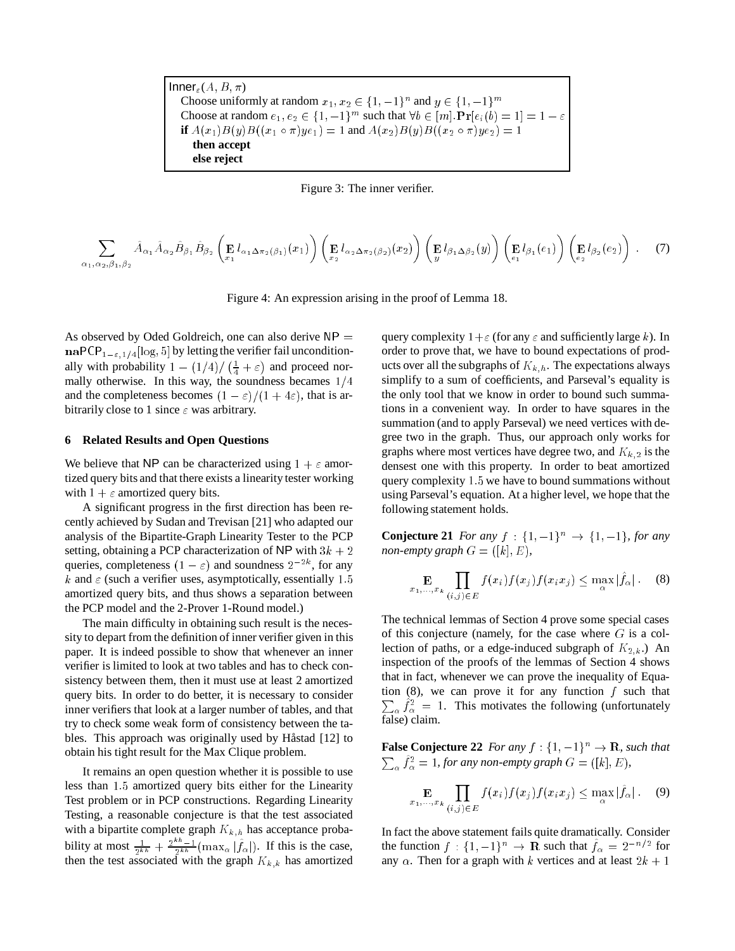| $Inner_{\epsilon}(A, B, \pi)$                                                                                  |  |
|----------------------------------------------------------------------------------------------------------------|--|
| Choose uniformly at random $x_1, x_2 \in \{1, -1\}^n$ and $y \in \{1, -1\}^m$                                  |  |
| Choose at random $e_1, e_2 \in \{1, -1\}^m$ such that $\forall b \in [m]$ . $Pr[e_i(b) = 1] = 1 - \varepsilon$ |  |
| if $A(x_1)B(y)B((x_1 \circ \pi)ye_1) = 1$ and $A(x_2)B(y)B((x_2 \circ \pi)ye_2) = 1$                           |  |
| then accept                                                                                                    |  |
| else reject                                                                                                    |  |



$$
\sum_{\alpha_1,\alpha_2,\beta_1,\beta_2} \hat{A}_{\alpha_1} \hat{A}_{\alpha_2} \hat{B}_{\beta_1} \hat{B}_{\beta_2} \left( \mathbf{E}_{a_1} l_{\alpha_1 \Delta \pi_2(\beta_1)}(x_1) \right) \left( \mathbf{E}_{a_2} l_{\alpha_2 \Delta \pi_2(\beta_2)}(x_2) \right) \left( \mathbf{E}_{a_1} l_{\beta_1 \Delta \beta_2}(y) \right) \left( \mathbf{E}_{a_1} l_{\beta_1}(e_1) \right) \left( \mathbf{E}_{e_2} l_{\beta_2}(e_2) \right) . \tag{7}
$$

Figure 4: An expression arising in the proof of Lemma 18.

As observed by Oded Goldreich, one can also derive  $NP =$  $\mathbf{naPCP}_{1-\epsilon, 1/4}[\log, 5]$  by letting the verifier fail unconditionally with probability  $1 - \left(\frac{1}{4}\right)/\left(\frac{1}{4} + \varepsilon\right)$ ) and proceed normally otherwise. In this way, the soundness becames  $1/4$ and the completeness becomes  $(1 - \varepsilon)/(1 + 4\varepsilon)$ , that is arbitrarily close to 1 since  $\varepsilon$  was arbitrary.

#### **6 Related Results and Open Questions**

We believe that NP can be characterized using  $1 + \varepsilon$  amortized query bits and that there exists a linearity tester working with  $1 + \varepsilon$  amortized query bits.

A significant progress in the first direction has been recently achieved by Sudan and Trevisan [21] who adapted our analysis of the Bipartite-Graph Linearity Tester to the PCP setting, obtaining a PCP characterization of NP with  $3k + 2$ queries, completeness  $(1 - \varepsilon)$  and soundness  $2^{-2k}$ , for any k and  $\varepsilon$  (such a verifier uses, asymptotically, essentially 1.5) amortized query bits, and thus shows a separation between the PCP model and the 2-Prover 1-Round model.)

The main difficulty in obtaining such result is the necessity to depart from the definition of inner verifier given in this paper. It is indeed possible to show that whenever an inner verifier is limited to look at two tables and has to check consistency between them, then it must use at least 2 amortized query bits. In order to do better, it is necessary to consider inner verifiers that look at a larger number of tables, and that try to check some weak form of consistency between the tables. This approach was originally used by Håstad [12] to obtain his tight result for the Max Clique problem.

It remains an open question whether it is possible to use less than 1:5 amortized query bits either for the Linearity Test problem or in PCP constructions. Regarding Linearity Testing, a reasonable conjecture is that the test associated with a bipartite complete graph  $\mathcal{K}_{k,h}$  has acceptance probability at most  $\frac{1}{2^{kh}} + \frac{2^{kh}-1}{2^{kh}}(\max_{\alpha} |\hat{f}_{\alpha}|)$ . If this is the case, then the test associated with the graph  $K_{k,k}$  has amortized

query complexity  $1+\varepsilon$  (for any  $\varepsilon$  and sufficiently large k). In order to prove that, we have to bound expectations of products over all the subgraphs of  $K_{k,h}$ . The expectations always simplify to a sum of coefficients, and Parseval's equality is the only tool that we know in order to bound such summations in a convenient way. In order to have squares in the summation (and to apply Parseval) we need vertices with degree two in the graph. Thus, our approach only works for graphs where most vertices have degree two, and  $K_{k,2}$  is the densest one with this property. In order to beat amortized query complexity 1:5 we have to bound summations without using Parseval's equation. At a higher level, we hope that the following statement holds.

**Conjecture 21** *For any*  $f : \{1, -1\}^n \to \{1, -1\}$ *, for any non-empty graph*  $G = ([k], E)$ *,* 

$$
\mathop{\mathbf{E}}_{x_1,\ldots,x_k} \prod_{(i,j)\in E} f(x_i) f(x_j) f(x_i x_j) \le \max_{\alpha} |\hat{f}_{\alpha}| \qquad (8)
$$

The technical lemmas of Section 4 prove some special cases of this conjecture (namely, for the case where  $G$  is a collection of paths, or a edge-induced subgraph of  $K_{2,k}$ .) An inspection of the proofs of the lemmas of Section 4 shows that in fact, whenever we can prove the inequality of Equa- $\sum_{\alpha} f_{\alpha}^2 = 1$ . This motivates the following (unfortunately tion  $(8)$ , we can prove it for any function f such that false) claim.

**False Conjecture 22** *For any*  $f : \{1, -1\}^n \to \mathbb{R}$ *, such that*  $\sum_{\alpha} f_{\alpha}^2 = 1$ *, for any non-empty graph*  $G = ([k], E)$ *,* 

$$
\mathop{\mathbf{E}}_{x_1,\ldots,x_k} \prod_{(i,j)\in E} f(x_i) f(x_j) f(x_i x_j) \leq \max_{\alpha} |\hat{f}_{\alpha}| \ . \tag{9}
$$

In fact the above statement fails quite dramatically. Consider the function  $f : \{1, -1\}^n \to \mathbf{R}$  such that  $f_\alpha = 2^{-n/2}$  for any  $\alpha$ . Then for a graph with k vertices and at least  $2k + 1$